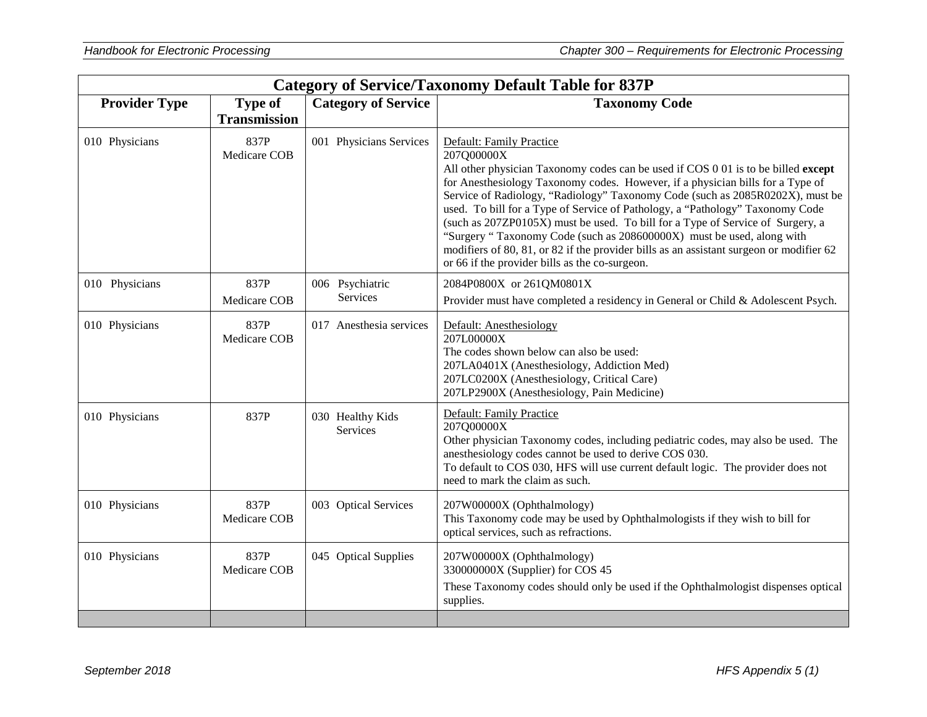| <b>Category of Service/Taxonomy Default Table for 837P</b> |                                       |                              |                                                                                                                                                                                                                                                                                                                                                                                                                                                                                                                                                                                                                                                                                          |
|------------------------------------------------------------|---------------------------------------|------------------------------|------------------------------------------------------------------------------------------------------------------------------------------------------------------------------------------------------------------------------------------------------------------------------------------------------------------------------------------------------------------------------------------------------------------------------------------------------------------------------------------------------------------------------------------------------------------------------------------------------------------------------------------------------------------------------------------|
| <b>Provider Type</b>                                       | <b>Type of</b><br><b>Transmission</b> | <b>Category of Service</b>   | <b>Taxonomy Code</b>                                                                                                                                                                                                                                                                                                                                                                                                                                                                                                                                                                                                                                                                     |
| 010 Physicians                                             | 837P<br>Medicare COB                  | 001 Physicians Services      | Default: Family Practice<br>207Q00000X<br>All other physician Taxonomy codes can be used if COS 0 01 is to be billed except<br>for Anesthesiology Taxonomy codes. However, if a physician bills for a Type of<br>Service of Radiology, "Radiology" Taxonomy Code (such as 2085R0202X), must be<br>used. To bill for a Type of Service of Pathology, a "Pathology" Taxonomy Code<br>(such as 207ZP0105X) must be used. To bill for a Type of Service of Surgery, a<br>"Surgery " Taxonomy Code (such as 208600000X) must be used, along with<br>modifiers of 80, 81, or 82 if the provider bills as an assistant surgeon or modifier 62<br>or 66 if the provider bills as the co-surgeon. |
| 010 Physicians                                             | 837P<br>Medicare COB                  | 006 Psychiatric<br>Services  | 2084P0800X or 261QM0801X<br>Provider must have completed a residency in General or Child & Adolescent Psych.                                                                                                                                                                                                                                                                                                                                                                                                                                                                                                                                                                             |
| 010 Physicians                                             | 837P<br>Medicare COB                  | 017 Anesthesia services      | Default: Anesthesiology<br>207L00000X<br>The codes shown below can also be used:<br>207LA0401X (Anesthesiology, Addiction Med)<br>207LC0200X (Anesthesiology, Critical Care)<br>207LP2900X (Anesthesiology, Pain Medicine)                                                                                                                                                                                                                                                                                                                                                                                                                                                               |
| 010 Physicians                                             | 837P                                  | 030 Healthy Kids<br>Services | Default: Family Practice<br>207Q00000X<br>Other physician Taxonomy codes, including pediatric codes, may also be used. The<br>anesthesiology codes cannot be used to derive COS 030.<br>To default to COS 030, HFS will use current default logic. The provider does not<br>need to mark the claim as such.                                                                                                                                                                                                                                                                                                                                                                              |
| 010 Physicians                                             | 837P<br>Medicare COB                  | 003 Optical Services         | 207W00000X (Ophthalmology)<br>This Taxonomy code may be used by Ophthalmologists if they wish to bill for<br>optical services, such as refractions.                                                                                                                                                                                                                                                                                                                                                                                                                                                                                                                                      |
| 010 Physicians                                             | 837P<br>Medicare COB                  | 045 Optical Supplies         | 207W00000X (Ophthalmology)<br>330000000X (Supplier) for COS 45<br>These Taxonomy codes should only be used if the Ophthalmologist dispenses optical<br>supplies.                                                                                                                                                                                                                                                                                                                                                                                                                                                                                                                         |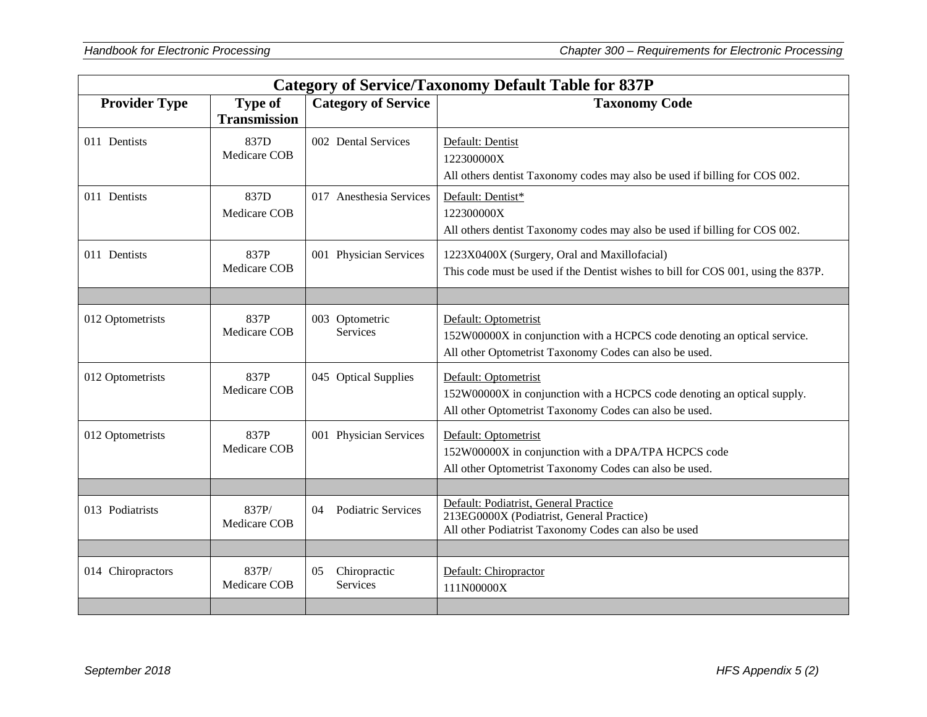|                      | <b>Category of Service/Taxonomy Default Table for 837P</b> |                                       |                                                                                                                                                            |  |
|----------------------|------------------------------------------------------------|---------------------------------------|------------------------------------------------------------------------------------------------------------------------------------------------------------|--|
| <b>Provider Type</b> | <b>Type of</b><br><b>Transmission</b>                      | <b>Category of Service</b>            | <b>Taxonomy Code</b>                                                                                                                                       |  |
| 011 Dentists         | 837D<br>Medicare COB                                       | 002 Dental Services                   | Default: Dentist<br>122300000X<br>All others dentist Taxonomy codes may also be used if billing for COS 002.                                               |  |
| 011 Dentists         | 837D<br>Medicare COB                                       | 017 Anesthesia Services               | Default: Dentist*<br>122300000X<br>All others dentist Taxonomy codes may also be used if billing for COS 002.                                              |  |
| 011 Dentists         | 837P<br>Medicare COB                                       | 001 Physician Services                | 1223X0400X (Surgery, Oral and Maxillofacial)<br>This code must be used if the Dentist wishes to bill for COS 001, using the 837P.                          |  |
|                      |                                                            |                                       |                                                                                                                                                            |  |
| 012 Optometrists     | 837P<br>Medicare COB                                       | 003 Optometric<br>Services            | Default: Optometrist<br>152W00000X in conjunction with a HCPCS code denoting an optical service.<br>All other Optometrist Taxonomy Codes can also be used. |  |
| 012 Optometrists     | 837P<br>Medicare COB                                       | 045 Optical Supplies                  | Default: Optometrist<br>152W00000X in conjunction with a HCPCS code denoting an optical supply.<br>All other Optometrist Taxonomy Codes can also be used.  |  |
| 012 Optometrists     | 837P<br>Medicare COB                                       | 001 Physician Services                | Default: Optometrist<br>152W00000X in conjunction with a DPA/TPA HCPCS code<br>All other Optometrist Taxonomy Codes can also be used.                      |  |
|                      |                                                            |                                       |                                                                                                                                                            |  |
| 013 Podiatrists      | 837P/<br>Medicare COB                                      | Podiatric Services<br>04              | Default: Podiatrist, General Practice<br>213EG0000X (Podiatrist, General Practice)<br>All other Podiatrist Taxonomy Codes can also be used                 |  |
|                      |                                                            |                                       |                                                                                                                                                            |  |
| 014 Chiropractors    | 837P/<br>Medicare COB                                      | Chiropractic<br>05<br><b>Services</b> | Default: Chiropractor<br>111N00000X                                                                                                                        |  |
|                      |                                                            |                                       |                                                                                                                                                            |  |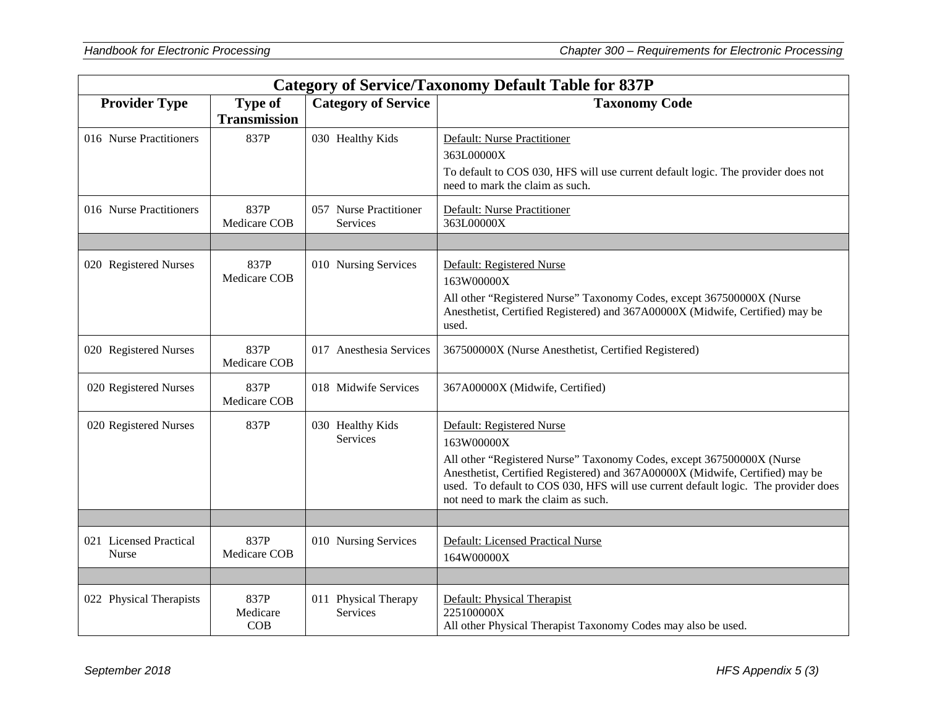|                                 | <b>Category of Service/Taxonomy Default Table for 837P</b> |                                    |                                                                                                                                                                                                                                                                                                                                |  |
|---------------------------------|------------------------------------------------------------|------------------------------------|--------------------------------------------------------------------------------------------------------------------------------------------------------------------------------------------------------------------------------------------------------------------------------------------------------------------------------|--|
| <b>Provider Type</b>            | <b>Type of</b><br><b>Transmission</b>                      | <b>Category of Service</b>         | <b>Taxonomy Code</b>                                                                                                                                                                                                                                                                                                           |  |
| 016 Nurse Practitioners         | 837P                                                       | 030 Healthy Kids                   | <b>Default: Nurse Practitioner</b><br>363L00000X<br>To default to COS 030, HFS will use current default logic. The provider does not<br>need to mark the claim as such.                                                                                                                                                        |  |
| 016 Nurse Practitioners         | 837P<br>Medicare COB                                       | 057 Nurse Practitioner<br>Services | Default: Nurse Practitioner<br>363L00000X                                                                                                                                                                                                                                                                                      |  |
| 020 Registered Nurses           | 837P<br>Medicare COB                                       | 010 Nursing Services               | Default: Registered Nurse<br>163W00000X<br>All other "Registered Nurse" Taxonomy Codes, except 367500000X (Nurse<br>Anesthetist, Certified Registered) and 367A00000X (Midwife, Certified) may be<br>used.                                                                                                                     |  |
| 020 Registered Nurses           | 837P<br>Medicare COB                                       | 017 Anesthesia Services            | 367500000X (Nurse Anesthetist, Certified Registered)                                                                                                                                                                                                                                                                           |  |
| 020 Registered Nurses           | 837P<br>Medicare COB                                       | 018 Midwife Services               | 367A00000X (Midwife, Certified)                                                                                                                                                                                                                                                                                                |  |
| 020 Registered Nurses           | 837P                                                       | 030 Healthy Kids<br>Services       | Default: Registered Nurse<br>163W00000X<br>All other "Registered Nurse" Taxonomy Codes, except 367500000X (Nurse<br>Anesthetist, Certified Registered) and 367A00000X (Midwife, Certified) may be<br>used. To default to COS 030, HFS will use current default logic. The provider does<br>not need to mark the claim as such. |  |
|                                 |                                                            |                                    |                                                                                                                                                                                                                                                                                                                                |  |
| 021 Licensed Practical<br>Nurse | 837P<br>Medicare COB                                       | 010 Nursing Services               | Default: Licensed Practical Nurse<br>164W00000X                                                                                                                                                                                                                                                                                |  |
|                                 |                                                            |                                    |                                                                                                                                                                                                                                                                                                                                |  |
| 022 Physical Therapists         | 837P<br>Medicare<br>COB                                    | 011 Physical Therapy<br>Services   | Default: Physical Therapist<br>225100000X<br>All other Physical Therapist Taxonomy Codes may also be used.                                                                                                                                                                                                                     |  |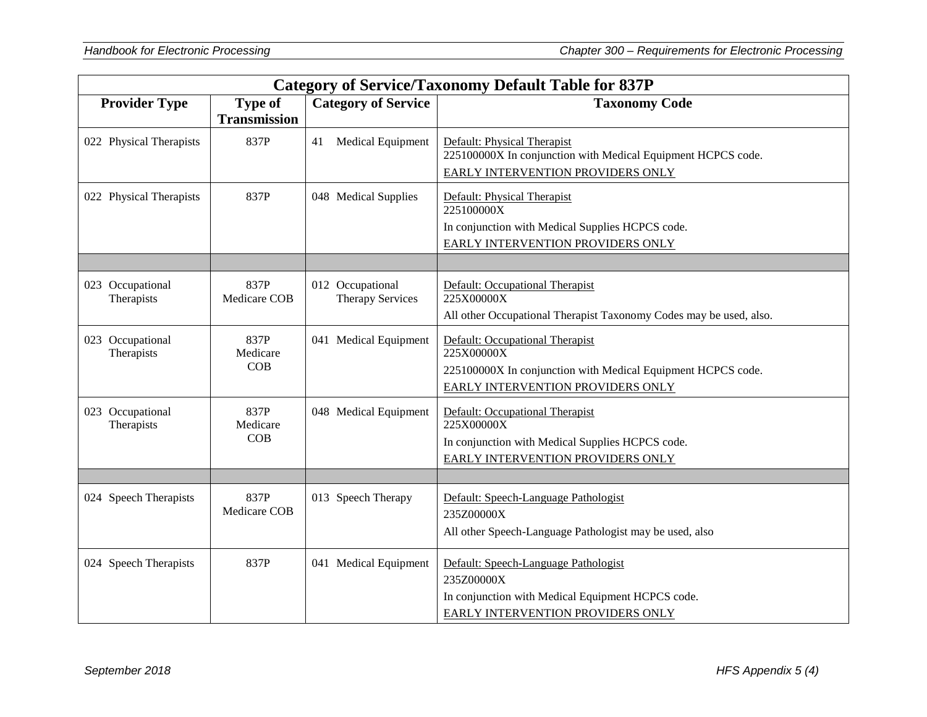|                                | <b>Category of Service/Taxonomy Default Table for 837P</b> |                                             |                                                                                                                                                    |  |
|--------------------------------|------------------------------------------------------------|---------------------------------------------|----------------------------------------------------------------------------------------------------------------------------------------------------|--|
| <b>Provider Type</b>           | <b>Type of</b><br><b>Transmission</b>                      | <b>Category of Service</b>                  | <b>Taxonomy Code</b>                                                                                                                               |  |
| 022 Physical Therapists        | 837P                                                       | <b>Medical Equipment</b><br>41              | Default: Physical Therapist<br>225100000X In conjunction with Medical Equipment HCPCS code.<br>EARLY INTERVENTION PROVIDERS ONLY                   |  |
| 022 Physical Therapists        | 837P                                                       | 048 Medical Supplies                        | Default: Physical Therapist<br>225100000X<br>In conjunction with Medical Supplies HCPCS code.<br>EARLY INTERVENTION PROVIDERS ONLY                 |  |
|                                |                                                            |                                             |                                                                                                                                                    |  |
| 023 Occupational<br>Therapists | 837P<br>Medicare COB                                       | 012 Occupational<br><b>Therapy Services</b> | Default: Occupational Therapist<br>225X00000X<br>All other Occupational Therapist Taxonomy Codes may be used, also.                                |  |
| 023 Occupational<br>Therapists | 837P<br>Medicare<br>COB                                    | 041 Medical Equipment                       | Default: Occupational Therapist<br>225X00000X<br>225100000X In conjunction with Medical Equipment HCPCS code.<br>EARLY INTERVENTION PROVIDERS ONLY |  |
| 023 Occupational<br>Therapists | 837P<br>Medicare<br>COB                                    | 048 Medical Equipment                       | Default: Occupational Therapist<br>225X00000X<br>In conjunction with Medical Supplies HCPCS code.<br>EARLY INTERVENTION PROVIDERS ONLY             |  |
|                                |                                                            |                                             |                                                                                                                                                    |  |
| 024 Speech Therapists          | 837P<br>Medicare COB                                       | 013 Speech Therapy                          | Default: Speech-Language Pathologist<br>235Z00000X<br>All other Speech-Language Pathologist may be used, also                                      |  |
| 024 Speech Therapists          | 837P                                                       | 041 Medical Equipment                       | Default: Speech-Language Pathologist<br>235Z00000X<br>In conjunction with Medical Equipment HCPCS code.<br>EARLY INTERVENTION PROVIDERS ONLY       |  |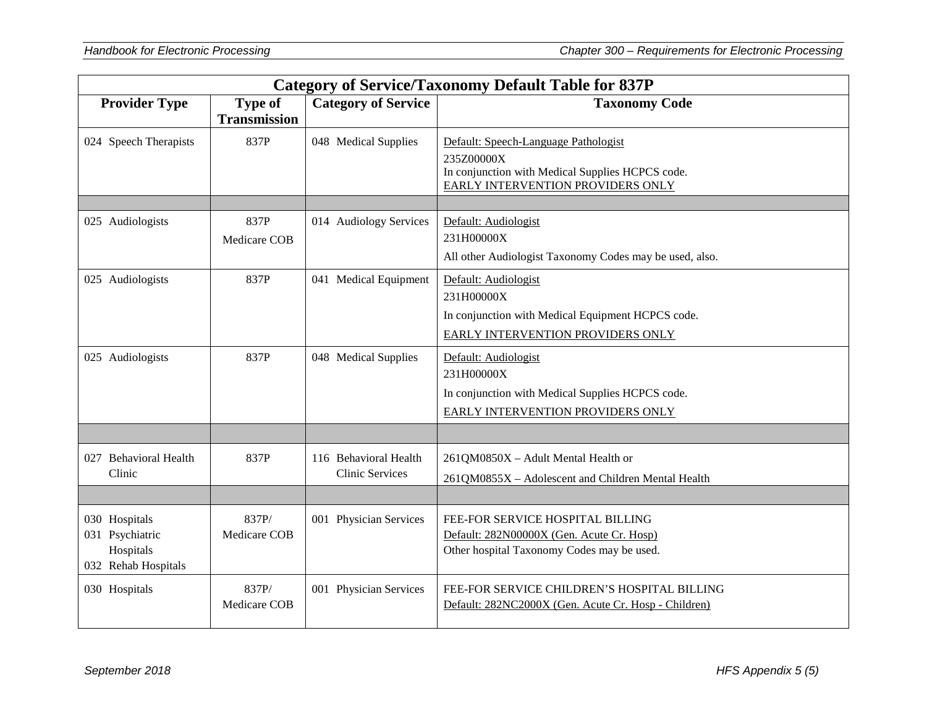|                                                                      | <b>Category of Service/Taxonomy Default Table for 837P</b> |                                                 |                                                                                                                                             |  |
|----------------------------------------------------------------------|------------------------------------------------------------|-------------------------------------------------|---------------------------------------------------------------------------------------------------------------------------------------------|--|
| <b>Provider Type</b>                                                 | <b>Type of</b><br><b>Transmission</b>                      | <b>Category of Service</b>                      | <b>Taxonomy Code</b>                                                                                                                        |  |
| 024 Speech Therapists                                                | 837P                                                       | 048 Medical Supplies                            | Default: Speech-Language Pathologist<br>235Z00000X<br>In conjunction with Medical Supplies HCPCS code.<br>EARLY INTERVENTION PROVIDERS ONLY |  |
| 025 Audiologists                                                     | 837P<br>Medicare COB                                       | 014 Audiology Services                          | Default: Audiologist<br>231H00000X<br>All other Audiologist Taxonomy Codes may be used, also.                                               |  |
| 025 Audiologists                                                     | 837P                                                       | 041 Medical Equipment                           | Default: Audiologist<br>231H00000X<br>In conjunction with Medical Equipment HCPCS code.<br>EARLY INTERVENTION PROVIDERS ONLY                |  |
| 025 Audiologists                                                     | 837P                                                       | 048 Medical Supplies                            | Default: Audiologist<br>231H00000X<br>In conjunction with Medical Supplies HCPCS code.<br>EARLY INTERVENTION PROVIDERS ONLY                 |  |
|                                                                      |                                                            |                                                 |                                                                                                                                             |  |
| 027 Behavioral Health<br>Clinic                                      | 837P                                                       | 116 Behavioral Health<br><b>Clinic Services</b> | 261QM0850X - Adult Mental Health or<br>261QM0855X - Adolescent and Children Mental Health                                                   |  |
|                                                                      |                                                            |                                                 |                                                                                                                                             |  |
| 030 Hospitals<br>031 Psychiatric<br>Hospitals<br>032 Rehab Hospitals | 837P/<br>Medicare COB                                      | 001 Physician Services                          | FEE-FOR SERVICE HOSPITAL BILLING<br>Default: 282N00000X (Gen. Acute Cr. Hosp)<br>Other hospital Taxonomy Codes may be used.                 |  |
| 030 Hospitals                                                        | 837P/<br>Medicare COB                                      | 001 Physician Services                          | FEE-FOR SERVICE CHILDREN'S HOSPITAL BILLING<br>Default: 282NC2000X (Gen. Acute Cr. Hosp - Children)                                         |  |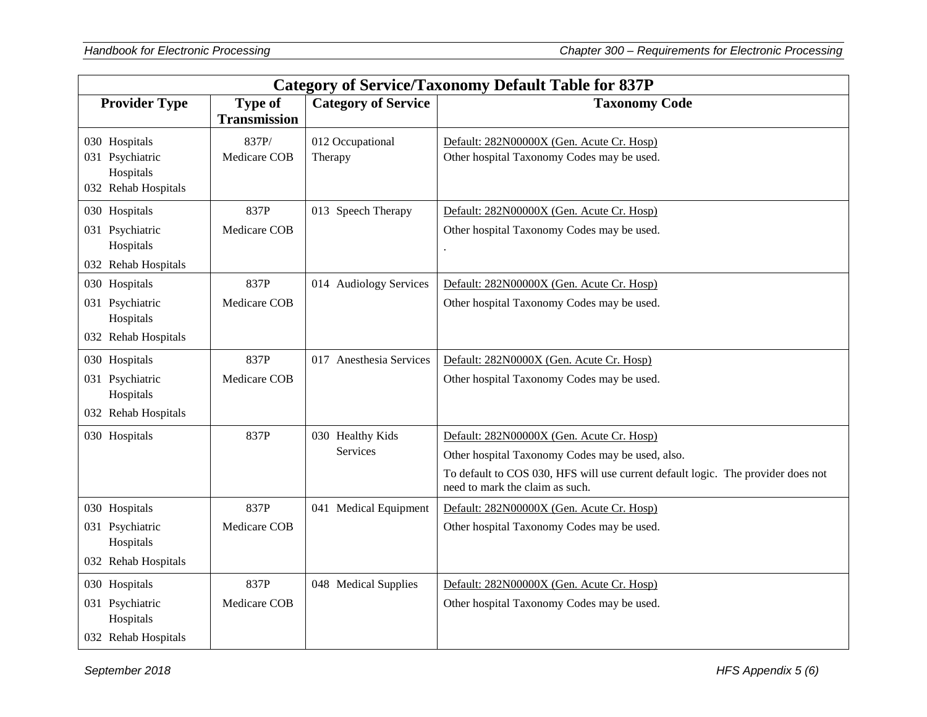|                                                                      | <b>Category of Service/Taxonomy Default Table for 837P</b> |                             |                                                                                                                     |  |
|----------------------------------------------------------------------|------------------------------------------------------------|-----------------------------|---------------------------------------------------------------------------------------------------------------------|--|
| <b>Provider Type</b>                                                 | <b>Type of</b><br><b>Transmission</b>                      | <b>Category of Service</b>  | <b>Taxonomy Code</b>                                                                                                |  |
| 030 Hospitals<br>031 Psychiatric<br>Hospitals<br>032 Rehab Hospitals | 837P/<br>Medicare COB                                      | 012 Occupational<br>Therapy | Default: 282N00000X (Gen. Acute Cr. Hosp)<br>Other hospital Taxonomy Codes may be used.                             |  |
| 030 Hospitals                                                        | 837P                                                       | 013 Speech Therapy          | Default: 282N00000X (Gen. Acute Cr. Hosp)                                                                           |  |
| 031 Psychiatric<br>Hospitals<br>032 Rehab Hospitals                  | Medicare COB                                               |                             | Other hospital Taxonomy Codes may be used.                                                                          |  |
| 030 Hospitals                                                        | 837P                                                       | 014 Audiology Services      | Default: 282N00000X (Gen. Acute Cr. Hosp)                                                                           |  |
| 031 Psychiatric<br>Hospitals                                         | Medicare COB                                               |                             | Other hospital Taxonomy Codes may be used.                                                                          |  |
| 032 Rehab Hospitals                                                  |                                                            |                             |                                                                                                                     |  |
| 030 Hospitals                                                        | 837P                                                       | 017 Anesthesia Services     | Default: 282N0000X (Gen. Acute Cr. Hosp)                                                                            |  |
| 031 Psychiatric<br>Hospitals                                         | Medicare COB                                               |                             | Other hospital Taxonomy Codes may be used.                                                                          |  |
| 032 Rehab Hospitals                                                  |                                                            |                             |                                                                                                                     |  |
| 030 Hospitals                                                        | 837P                                                       | 030 Healthy Kids            | Default: 282N00000X (Gen. Acute Cr. Hosp)                                                                           |  |
|                                                                      |                                                            | Services                    | Other hospital Taxonomy Codes may be used, also.                                                                    |  |
|                                                                      |                                                            |                             | To default to COS 030, HFS will use current default logic. The provider does not<br>need to mark the claim as such. |  |
| 030 Hospitals                                                        | 837P                                                       | 041 Medical Equipment       | Default: 282N00000X (Gen. Acute Cr. Hosp)                                                                           |  |
| 031 Psychiatric<br>Hospitals                                         | Medicare COB                                               |                             | Other hospital Taxonomy Codes may be used.                                                                          |  |
| 032 Rehab Hospitals                                                  |                                                            |                             |                                                                                                                     |  |
| 030 Hospitals                                                        | 837P                                                       | 048 Medical Supplies        | Default: 282N00000X (Gen. Acute Cr. Hosp)                                                                           |  |
| 031 Psychiatric<br>Hospitals                                         | Medicare COB                                               |                             | Other hospital Taxonomy Codes may be used.                                                                          |  |
| 032 Rehab Hospitals                                                  |                                                            |                             |                                                                                                                     |  |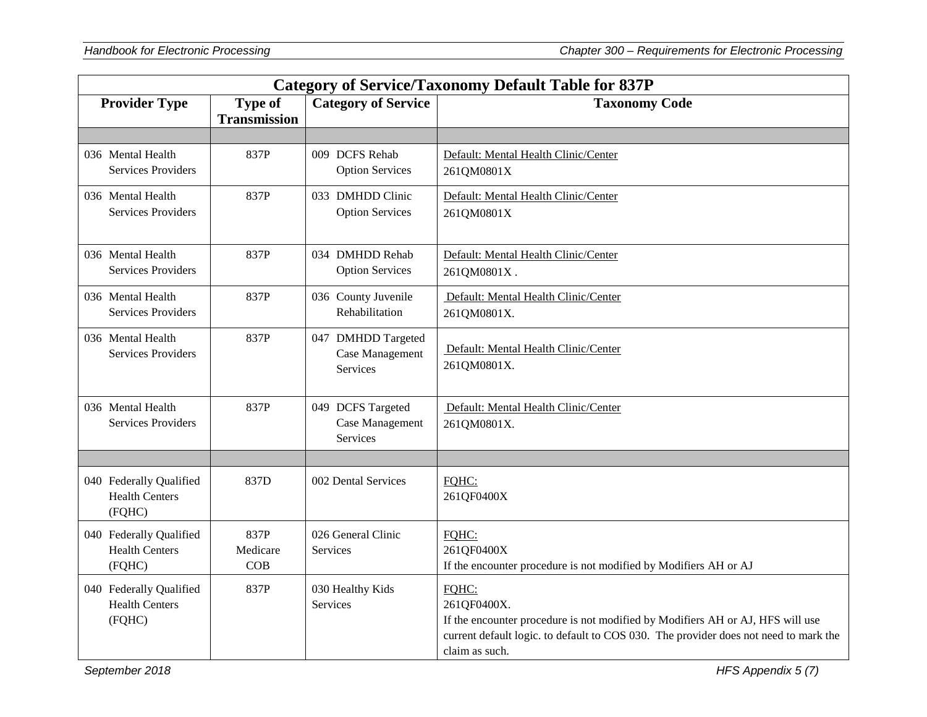| <b>Category of Service/Taxonomy Default Table for 837P</b> |                                       |                                                   |                                                                                                                                                                                                                  |
|------------------------------------------------------------|---------------------------------------|---------------------------------------------------|------------------------------------------------------------------------------------------------------------------------------------------------------------------------------------------------------------------|
| <b>Provider Type</b>                                       | <b>Type of</b><br><b>Transmission</b> | <b>Category of Service</b>                        | <b>Taxonomy Code</b>                                                                                                                                                                                             |
|                                                            |                                       |                                                   |                                                                                                                                                                                                                  |
| 036 Mental Health<br><b>Services Providers</b>             | 837P                                  | 009 DCFS Rehab<br><b>Option Services</b>          | Default: Mental Health Clinic/Center<br>261QM0801X                                                                                                                                                               |
| 036 Mental Health<br><b>Services Providers</b>             | 837P                                  | 033 DMHDD Clinic<br><b>Option Services</b>        | Default: Mental Health Clinic/Center<br>261QM0801X                                                                                                                                                               |
| 036 Mental Health<br><b>Services Providers</b>             | 837P                                  | 034 DMHDD Rehab<br><b>Option Services</b>         | Default: Mental Health Clinic/Center<br>261QM0801X.                                                                                                                                                              |
| 036 Mental Health<br><b>Services Providers</b>             | 837P                                  | 036 County Juvenile<br>Rehabilitation             | Default: Mental Health Clinic/Center<br>261QM0801X.                                                                                                                                                              |
| 036 Mental Health<br>Services Providers                    | 837P                                  | 047 DMHDD Targeted<br>Case Management<br>Services | Default: Mental Health Clinic/Center<br>261QM0801X.                                                                                                                                                              |
| 036 Mental Health<br>Services Providers                    | 837P                                  | 049 DCFS Targeted<br>Case Management<br>Services  | Default: Mental Health Clinic/Center<br>261QM0801X.                                                                                                                                                              |
|                                                            |                                       |                                                   |                                                                                                                                                                                                                  |
| 040 Federally Qualified<br><b>Health Centers</b><br>(FQHC) | 837D                                  | 002 Dental Services                               | FQHC:<br>261QF0400X                                                                                                                                                                                              |
| 040 Federally Qualified<br><b>Health Centers</b><br>(FQHC) | 837P<br>Medicare<br>COB               | 026 General Clinic<br>Services                    | FOHC:<br>261QF0400X<br>If the encounter procedure is not modified by Modifiers AH or AJ                                                                                                                          |
| 040 Federally Qualified<br><b>Health Centers</b><br>(FQHC) | 837P                                  | 030 Healthy Kids<br><b>Services</b>               | FOHC:<br>261QF0400X.<br>If the encounter procedure is not modified by Modifiers AH or AJ, HFS will use<br>current default logic. to default to COS 030. The provider does not need to mark the<br>claim as such. |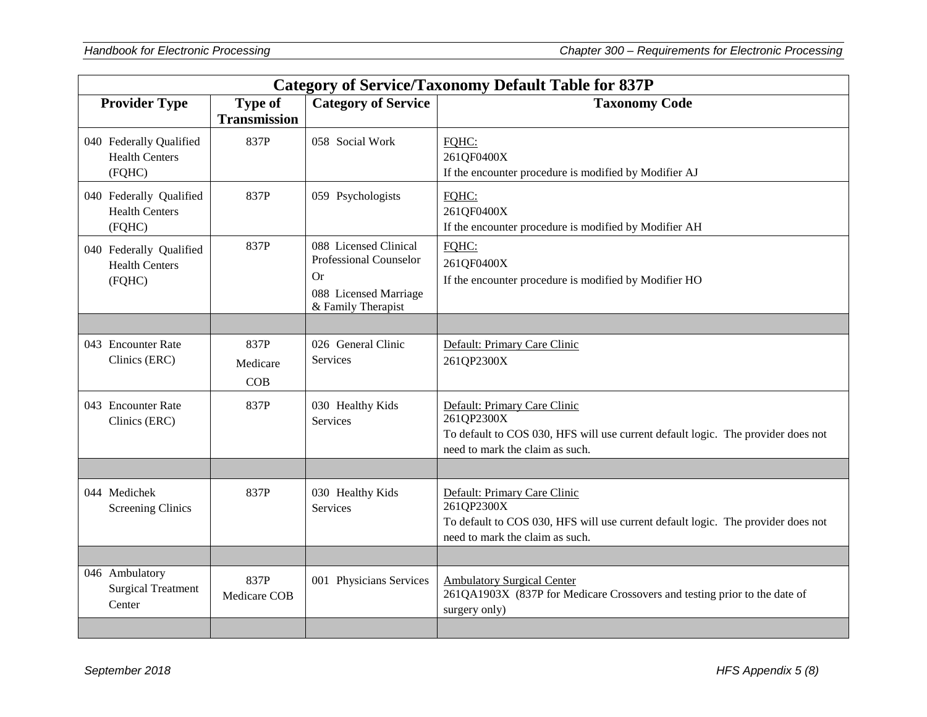| <b>Category of Service/Taxonomy Default Table for 837P</b> |                                       |                                                                                                      |                                                                                                                                                                   |
|------------------------------------------------------------|---------------------------------------|------------------------------------------------------------------------------------------------------|-------------------------------------------------------------------------------------------------------------------------------------------------------------------|
| <b>Provider Type</b>                                       | <b>Type of</b><br><b>Transmission</b> | <b>Category of Service</b>                                                                           | <b>Taxonomy Code</b>                                                                                                                                              |
| 040 Federally Qualified<br><b>Health Centers</b><br>(FQHC) | 837P                                  | 058 Social Work                                                                                      | FQHC:<br>261QF0400X<br>If the encounter procedure is modified by Modifier AJ                                                                                      |
| 040 Federally Qualified<br><b>Health Centers</b><br>(FQHC) | 837P                                  | 059 Psychologists                                                                                    | FQHC:<br>261QF0400X<br>If the encounter procedure is modified by Modifier AH                                                                                      |
| 040 Federally Qualified<br><b>Health Centers</b><br>(FQHC) | 837P                                  | 088 Licensed Clinical<br>Professional Counselor<br>Or<br>088 Licensed Marriage<br>& Family Therapist | FOHC:<br>261QF0400X<br>If the encounter procedure is modified by Modifier HO                                                                                      |
|                                                            |                                       |                                                                                                      |                                                                                                                                                                   |
| 043 Encounter Rate<br>Clinics (ERC)                        | 837P<br>Medicare<br>COB               | 026 General Clinic<br>Services                                                                       | Default: Primary Care Clinic<br>261QP2300X                                                                                                                        |
| 043 Encounter Rate<br>Clinics (ERC)                        | 837P                                  | 030 Healthy Kids<br>Services                                                                         | Default: Primary Care Clinic<br>261QP2300X<br>To default to COS 030, HFS will use current default logic. The provider does not<br>need to mark the claim as such. |
|                                                            |                                       |                                                                                                      |                                                                                                                                                                   |
| 044 Medichek<br><b>Screening Clinics</b>                   | 837P                                  | 030 Healthy Kids<br>Services                                                                         | Default: Primary Care Clinic<br>261QP2300X<br>To default to COS 030, HFS will use current default logic. The provider does not<br>need to mark the claim as such. |
|                                                            |                                       |                                                                                                      |                                                                                                                                                                   |
| 046 Ambulatory<br><b>Surgical Treatment</b><br>Center      | 837P<br>Medicare COB                  | 001 Physicians Services                                                                              | <b>Ambulatory Surgical Center</b><br>261QA1903X (837P for Medicare Crossovers and testing prior to the date of<br>surgery only)                                   |
|                                                            |                                       |                                                                                                      |                                                                                                                                                                   |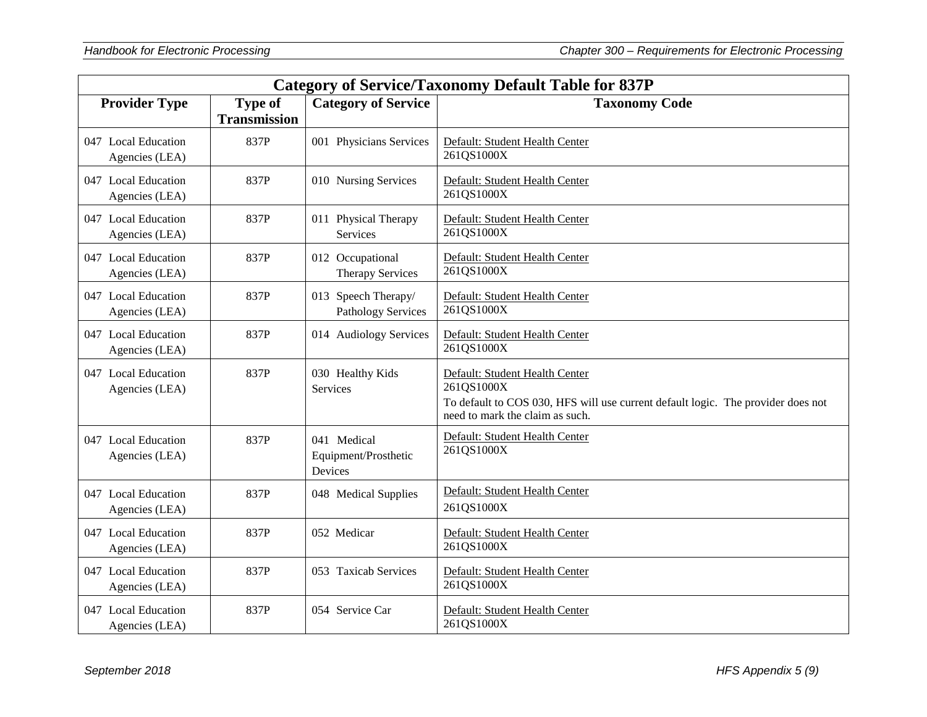| <b>Category of Service/Taxonomy Default Table for 837P</b> |                                       |                                                  |                                                                                                                                                                     |
|------------------------------------------------------------|---------------------------------------|--------------------------------------------------|---------------------------------------------------------------------------------------------------------------------------------------------------------------------|
| <b>Provider Type</b>                                       | <b>Type of</b><br><b>Transmission</b> | <b>Category of Service</b>                       | <b>Taxonomy Code</b>                                                                                                                                                |
| 047 Local Education<br>Agencies (LEA)                      | 837P                                  | 001 Physicians Services                          | Default: Student Health Center<br>261QS1000X                                                                                                                        |
| 047 Local Education<br>Agencies (LEA)                      | 837P                                  | 010 Nursing Services                             | Default: Student Health Center<br>261QS1000X                                                                                                                        |
| 047 Local Education<br>Agencies (LEA)                      | 837P                                  | 011 Physical Therapy<br><b>Services</b>          | Default: Student Health Center<br>261QS1000X                                                                                                                        |
| 047 Local Education<br>Agencies (LEA)                      | 837P                                  | 012 Occupational<br><b>Therapy Services</b>      | Default: Student Health Center<br>261QS1000X                                                                                                                        |
| 047 Local Education<br>Agencies (LEA)                      | 837P                                  | 013 Speech Therapy/<br><b>Pathology Services</b> | Default: Student Health Center<br>261QS1000X                                                                                                                        |
| 047 Local Education<br>Agencies (LEA)                      | 837P                                  | 014 Audiology Services                           | Default: Student Health Center<br>261QS1000X                                                                                                                        |
| 047 Local Education<br>Agencies (LEA)                      | 837P                                  | 030 Healthy Kids<br>Services                     | Default: Student Health Center<br>261QS1000X<br>To default to COS 030, HFS will use current default logic. The provider does not<br>need to mark the claim as such. |
| 047 Local Education<br>Agencies (LEA)                      | 837P                                  | 041 Medical<br>Equipment/Prosthetic<br>Devices   | Default: Student Health Center<br>261QS1000X                                                                                                                        |
| 047 Local Education<br>Agencies (LEA)                      | 837P                                  | 048 Medical Supplies                             | Default: Student Health Center<br>261QS1000X                                                                                                                        |
| 047 Local Education<br>Agencies (LEA)                      | 837P                                  | 052 Medicar                                      | Default: Student Health Center<br>261QS1000X                                                                                                                        |
| 047 Local Education<br>Agencies (LEA)                      | 837P                                  | 053 Taxicab Services                             | Default: Student Health Center<br>261QS1000X                                                                                                                        |
| 047 Local Education<br>Agencies (LEA)                      | 837P                                  | 054 Service Car                                  | Default: Student Health Center<br>261QS1000X                                                                                                                        |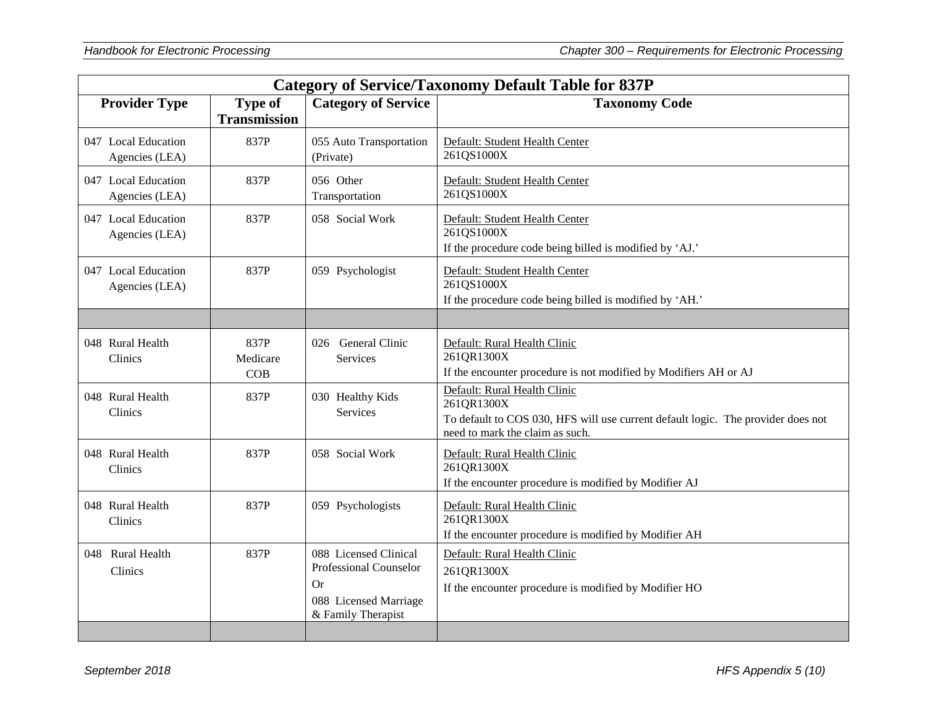| <b>Category of Service/Taxonomy Default Table for 837P</b> |                                       |                                                                                                             |                                                                                                                                                                   |
|------------------------------------------------------------|---------------------------------------|-------------------------------------------------------------------------------------------------------------|-------------------------------------------------------------------------------------------------------------------------------------------------------------------|
| <b>Provider Type</b>                                       | <b>Type of</b><br><b>Transmission</b> | <b>Category of Service</b>                                                                                  | <b>Taxonomy Code</b>                                                                                                                                              |
| 047 Local Education<br>Agencies (LEA)                      | 837P                                  | 055 Auto Transportation<br>(Private)                                                                        | Default: Student Health Center<br>261QS1000X                                                                                                                      |
| 047 Local Education<br>Agencies (LEA)                      | 837P                                  | 056 Other<br>Transportation                                                                                 | Default: Student Health Center<br>261QS1000X                                                                                                                      |
| 047 Local Education<br>Agencies (LEA)                      | 837P                                  | 058 Social Work                                                                                             | Default: Student Health Center<br>261QS1000X<br>If the procedure code being billed is modified by 'AJ.'                                                           |
| 047 Local Education<br>Agencies (LEA)                      | 837P                                  | 059 Psychologist                                                                                            | Default: Student Health Center<br>261QS1000X<br>If the procedure code being billed is modified by 'AH.'                                                           |
|                                                            |                                       |                                                                                                             |                                                                                                                                                                   |
| 048 Rural Health<br>Clinics                                | 837P<br>Medicare<br>COB               | 026 General Clinic<br>Services                                                                              | Default: Rural Health Clinic<br>261QR1300X<br>If the encounter procedure is not modified by Modifiers AH or AJ                                                    |
| 048 Rural Health<br>Clinics                                | 837P                                  | 030 Healthy Kids<br>Services                                                                                | Default: Rural Health Clinic<br>261QR1300X<br>To default to COS 030, HFS will use current default logic. The provider does not<br>need to mark the claim as such. |
| 048 Rural Health<br>Clinics                                | 837P                                  | 058 Social Work                                                                                             | Default: Rural Health Clinic<br>261QR1300X<br>If the encounter procedure is modified by Modifier AJ                                                               |
| 048 Rural Health<br>Clinics                                | 837P                                  | 059 Psychologists                                                                                           | Default: Rural Health Clinic<br>261QR1300X<br>If the encounter procedure is modified by Modifier AH                                                               |
| 048 Rural Health<br>Clinics                                | 837P                                  | 088 Licensed Clinical<br><b>Professional Counselor</b><br>Or<br>088 Licensed Marriage<br>& Family Therapist | Default: Rural Health Clinic<br>261QR1300X<br>If the encounter procedure is modified by Modifier HO                                                               |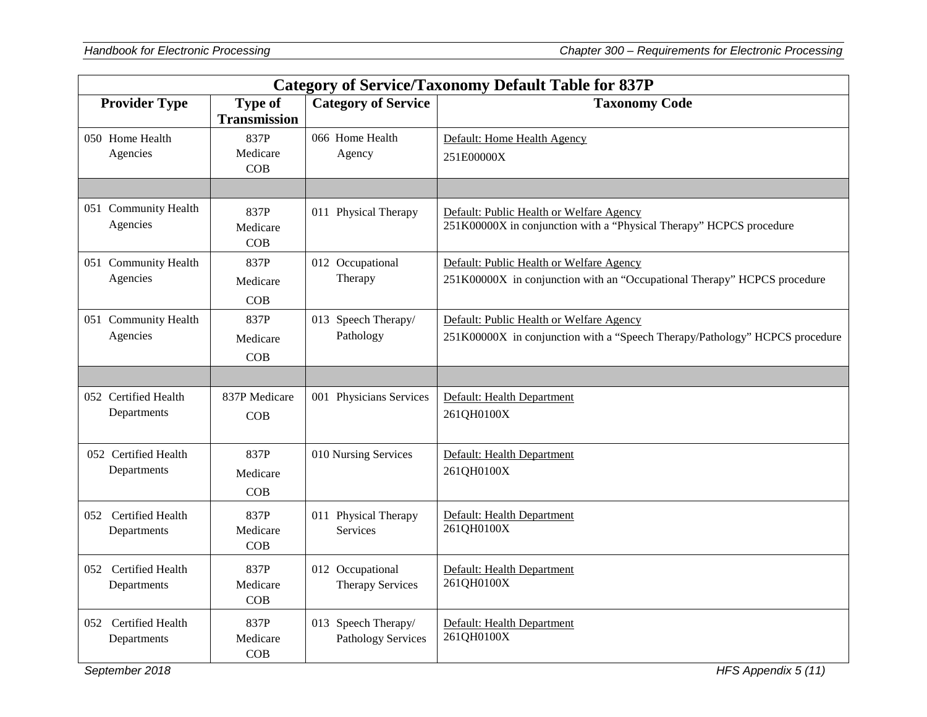|                                     | <b>Category of Service/Taxonomy Default Table for 837P</b> |                                                  |                                                                                                                         |  |
|-------------------------------------|------------------------------------------------------------|--------------------------------------------------|-------------------------------------------------------------------------------------------------------------------------|--|
| <b>Provider Type</b>                | <b>Type of</b><br><b>Transmission</b>                      | <b>Category of Service</b>                       | <b>Taxonomy Code</b>                                                                                                    |  |
| 050 Home Health<br>Agencies         | 837P<br>Medicare<br>COB                                    | 066 Home Health<br>Agency                        | Default: Home Health Agency<br>251E00000X                                                                               |  |
|                                     |                                                            |                                                  |                                                                                                                         |  |
| 051 Community Health<br>Agencies    | 837P<br>Medicare<br>COB                                    | 011 Physical Therapy                             | Default: Public Health or Welfare Agency<br>251K00000X in conjunction with a "Physical Therapy" HCPCS procedure         |  |
| 051 Community Health<br>Agencies    | 837P<br>Medicare<br>COB                                    | 012 Occupational<br>Therapy                      | Default: Public Health or Welfare Agency<br>251K00000X in conjunction with an "Occupational Therapy" HCPCS procedure    |  |
| 051 Community Health<br>Agencies    | 837P<br>Medicare<br>COB                                    | 013 Speech Therapy/<br>Pathology                 | Default: Public Health or Welfare Agency<br>251K00000X in conjunction with a "Speech Therapy/Pathology" HCPCS procedure |  |
|                                     |                                                            |                                                  |                                                                                                                         |  |
| 052 Certified Health<br>Departments | 837P Medicare<br>COB                                       | 001 Physicians Services                          | Default: Health Department<br>261QH0100X                                                                                |  |
| 052 Certified Health<br>Departments | 837P<br>Medicare<br>COB                                    | 010 Nursing Services                             | Default: Health Department<br>261QH0100X                                                                                |  |
| 052 Certified Health<br>Departments | 837P<br>Medicare<br>COB                                    | 011 Physical Therapy<br>Services                 | Default: Health Department<br>261QH0100X                                                                                |  |
| 052 Certified Health<br>Departments | 837P<br>Medicare<br>COB                                    | 012 Occupational<br><b>Therapy Services</b>      | Default: Health Department<br>261QH0100X                                                                                |  |
| 052 Certified Health<br>Departments | 837P<br>Medicare<br>COB                                    | 013 Speech Therapy/<br><b>Pathology Services</b> | Default: Health Department<br>261QH0100X                                                                                |  |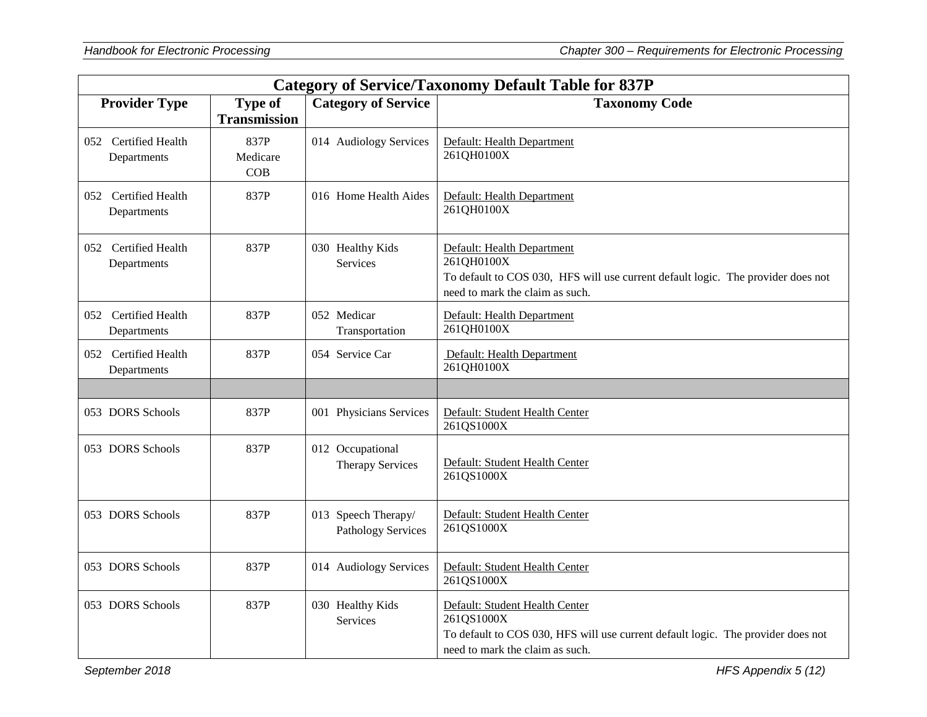| <b>Category of Service/Taxonomy Default Table for 837P</b> |                                       |                                                  |                                                                                                                                                                     |
|------------------------------------------------------------|---------------------------------------|--------------------------------------------------|---------------------------------------------------------------------------------------------------------------------------------------------------------------------|
| <b>Provider Type</b>                                       | <b>Type of</b><br><b>Transmission</b> | <b>Category of Service</b>                       | <b>Taxonomy Code</b>                                                                                                                                                |
| 052 Certified Health<br>Departments                        | 837P<br>Medicare<br>COB               | 014 Audiology Services                           | Default: Health Department<br>261QH0100X                                                                                                                            |
| 052 Certified Health<br>Departments                        | 837P                                  | 016 Home Health Aides                            | Default: Health Department<br>261QH0100X                                                                                                                            |
| 052 Certified Health<br>Departments                        | 837P                                  | 030 Healthy Kids<br>Services                     | Default: Health Department<br>261QH0100X<br>To default to COS 030, HFS will use current default logic. The provider does not<br>need to mark the claim as such.     |
| 052 Certified Health<br>Departments                        | 837P                                  | 052 Medicar<br>Transportation                    | Default: Health Department<br>261QH0100X                                                                                                                            |
| 052 Certified Health<br>Departments                        | 837P                                  | 054 Service Car                                  | Default: Health Department<br>261QH0100X                                                                                                                            |
| 053 DORS Schools                                           | 837P                                  | 001 Physicians Services                          | Default: Student Health Center<br>261QS1000X                                                                                                                        |
| 053 DORS Schools                                           | 837P                                  | 012 Occupational<br><b>Therapy Services</b>      | Default: Student Health Center<br>261QS1000X                                                                                                                        |
| 053 DORS Schools                                           | 837P                                  | 013 Speech Therapy/<br><b>Pathology Services</b> | Default: Student Health Center<br>261QS1000X                                                                                                                        |
| 053 DORS Schools                                           | 837P                                  | 014 Audiology Services                           | Default: Student Health Center<br>261QS1000X                                                                                                                        |
| 053 DORS Schools                                           | 837P                                  | 030 Healthy Kids<br>Services                     | Default: Student Health Center<br>261QS1000X<br>To default to COS 030, HFS will use current default logic. The provider does not<br>need to mark the claim as such. |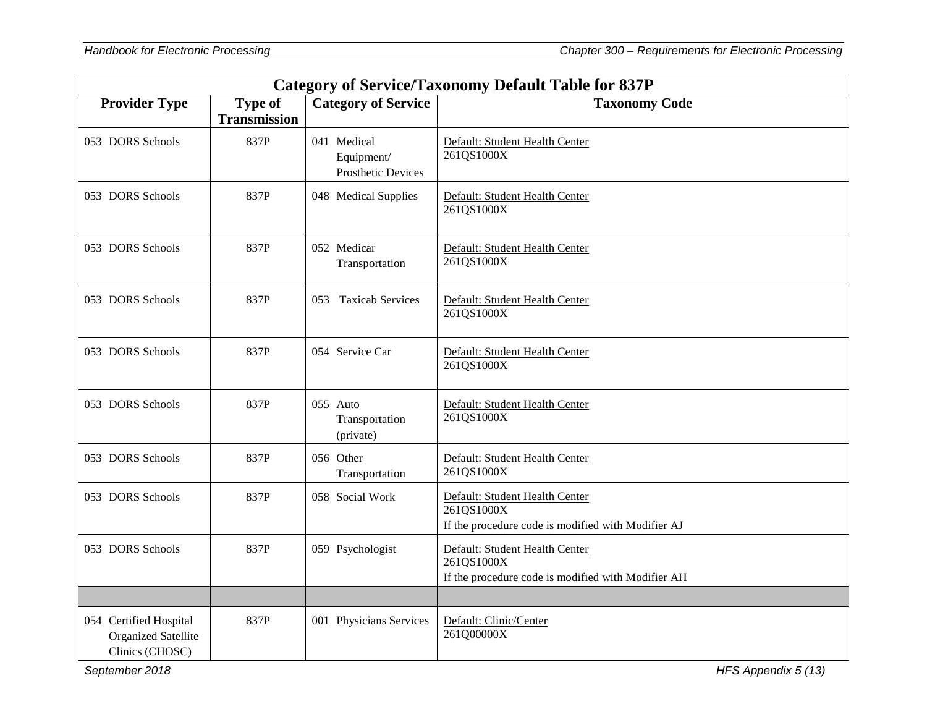| <b>Category of Service/Taxonomy Default Table for 837P</b>              |                                       |                                                        |                                                                                                    |
|-------------------------------------------------------------------------|---------------------------------------|--------------------------------------------------------|----------------------------------------------------------------------------------------------------|
| <b>Provider Type</b>                                                    | <b>Type of</b><br><b>Transmission</b> | <b>Category of Service</b>                             | <b>Taxonomy Code</b>                                                                               |
| 053 DORS Schools                                                        | 837P                                  | 041 Medical<br>Equipment/<br><b>Prosthetic Devices</b> | Default: Student Health Center<br>261QS1000X                                                       |
| 053 DORS Schools                                                        | 837P                                  | 048 Medical Supplies                                   | Default: Student Health Center<br>261QS1000X                                                       |
| 053 DORS Schools                                                        | 837P                                  | 052 Medicar<br>Transportation                          | Default: Student Health Center<br>261QS1000X                                                       |
| 053 DORS Schools                                                        | 837P                                  | 053 Taxicab Services                                   | Default: Student Health Center<br>261QS1000X                                                       |
| 053 DORS Schools                                                        | 837P                                  | 054 Service Car                                        | Default: Student Health Center<br>261QS1000X                                                       |
| 053 DORS Schools                                                        | 837P                                  | 055 Auto<br>Transportation<br>(private)                | Default: Student Health Center<br>261QS1000X                                                       |
| 053 DORS Schools                                                        | 837P                                  | 056 Other<br>Transportation                            | Default: Student Health Center<br>261QS1000X                                                       |
| 053 DORS Schools                                                        | 837P                                  | 058 Social Work                                        | Default: Student Health Center<br>261QS1000X<br>If the procedure code is modified with Modifier AJ |
| 053 DORS Schools                                                        | 837P                                  | 059 Psychologist                                       | Default: Student Health Center<br>261QS1000X<br>If the procedure code is modified with Modifier AH |
|                                                                         |                                       |                                                        |                                                                                                    |
| 054 Certified Hospital<br><b>Organized Satellite</b><br>Clinics (CHOSC) | 837P                                  | 001 Physicians Services                                | Default: Clinic/Center<br>261Q00000X                                                               |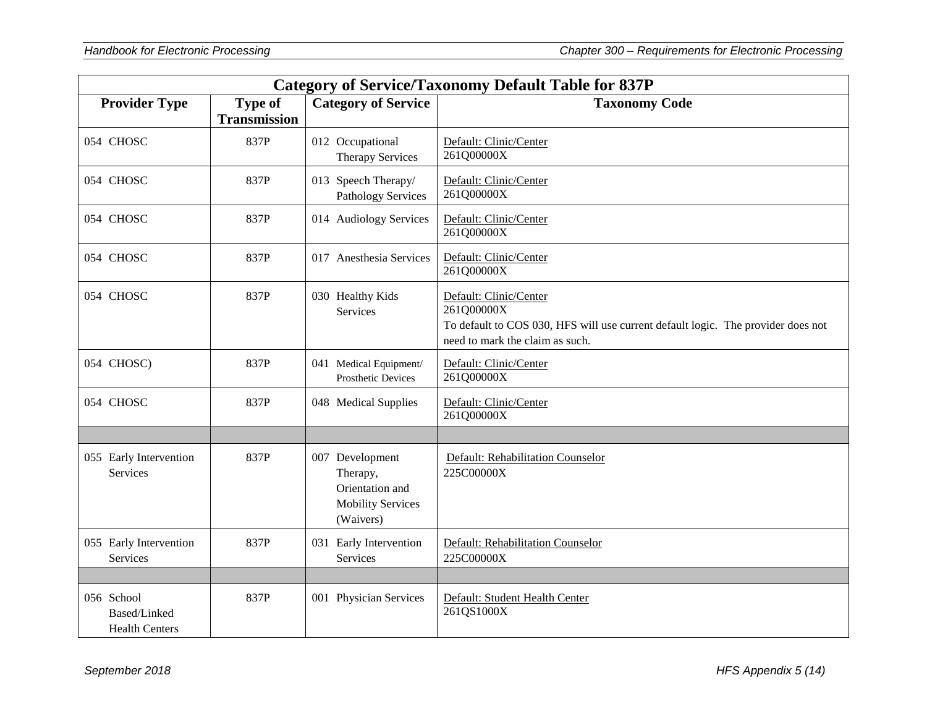| <b>Category of Service/Taxonomy Default Table for 837P</b> |                                       |                                                                                         |                                                                                                                                                             |
|------------------------------------------------------------|---------------------------------------|-----------------------------------------------------------------------------------------|-------------------------------------------------------------------------------------------------------------------------------------------------------------|
| <b>Provider Type</b>                                       | <b>Type of</b><br><b>Transmission</b> | <b>Category of Service</b>                                                              | <b>Taxonomy Code</b>                                                                                                                                        |
| 054 CHOSC                                                  | 837P                                  | 012 Occupational<br><b>Therapy Services</b>                                             | Default: Clinic/Center<br>261Q00000X                                                                                                                        |
| 054 CHOSC                                                  | 837P                                  | 013 Speech Therapy/<br><b>Pathology Services</b>                                        | Default: Clinic/Center<br>261Q00000X                                                                                                                        |
| 054 CHOSC                                                  | 837P                                  | 014 Audiology Services                                                                  | Default: Clinic/Center<br>261Q00000X                                                                                                                        |
| 054 CHOSC                                                  | 837P                                  | 017 Anesthesia Services                                                                 | Default: Clinic/Center<br>261Q00000X                                                                                                                        |
| 054 CHOSC                                                  | 837P                                  | 030 Healthy Kids<br>Services                                                            | Default: Clinic/Center<br>261Q00000X<br>To default to COS 030, HFS will use current default logic. The provider does not<br>need to mark the claim as such. |
| 054 CHOSC)                                                 | 837P                                  | 041 Medical Equipment/<br>Prosthetic Devices                                            | Default: Clinic/Center<br>261Q00000X                                                                                                                        |
| 054 CHOSC                                                  | 837P                                  | 048 Medical Supplies                                                                    | Default: Clinic/Center<br>261Q00000X                                                                                                                        |
|                                                            |                                       |                                                                                         |                                                                                                                                                             |
| 055 Early Intervention<br><b>Services</b>                  | 837P                                  | 007 Development<br>Therapy,<br>Orientation and<br><b>Mobility Services</b><br>(Waivers) | Default: Rehabilitation Counselor<br>225C00000X                                                                                                             |
| 055 Early Intervention<br>Services                         | 837P                                  | 031 Early Intervention<br>Services                                                      | Default: Rehabilitation Counselor<br>225C00000X                                                                                                             |
|                                                            |                                       |                                                                                         |                                                                                                                                                             |
| 056 School<br>Based/Linked<br><b>Health Centers</b>        | 837P                                  | 001 Physician Services                                                                  | Default: Student Health Center<br>261QS1000X                                                                                                                |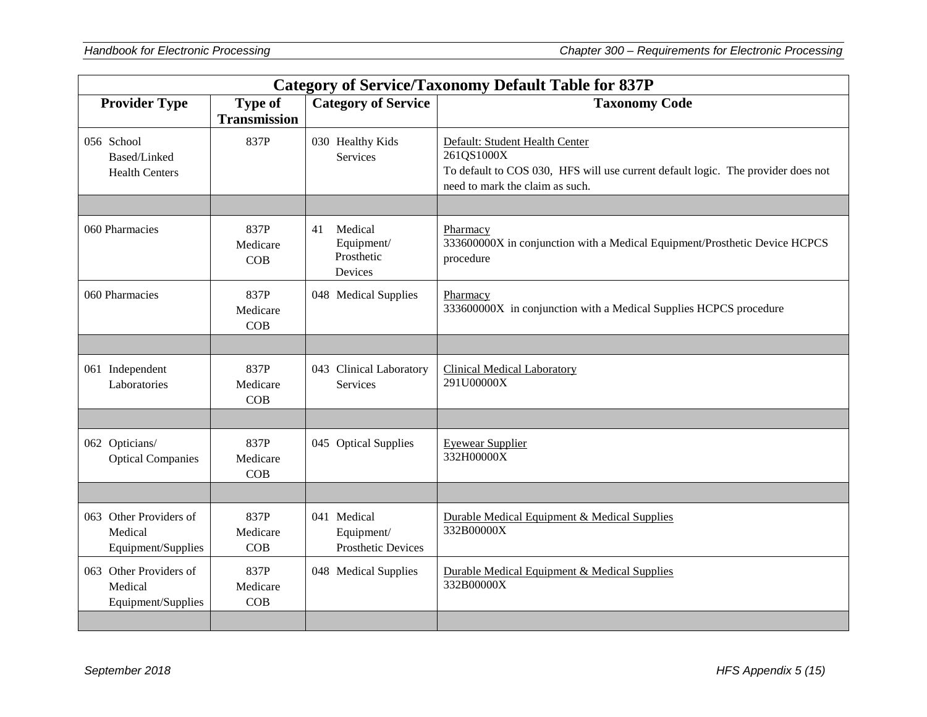| <b>Category of Service/Taxonomy Default Table for 837P</b> |                                       |                                                             |                                                                                                                                                                     |
|------------------------------------------------------------|---------------------------------------|-------------------------------------------------------------|---------------------------------------------------------------------------------------------------------------------------------------------------------------------|
| <b>Provider Type</b>                                       | <b>Type of</b><br><b>Transmission</b> | <b>Category of Service</b>                                  | <b>Taxonomy Code</b>                                                                                                                                                |
| 056 School<br>Based/Linked<br><b>Health Centers</b>        | 837P                                  | 030 Healthy Kids<br>Services                                | Default: Student Health Center<br>261QS1000X<br>To default to COS 030, HFS will use current default logic. The provider does not<br>need to mark the claim as such. |
|                                                            |                                       |                                                             |                                                                                                                                                                     |
| 060 Pharmacies                                             | 837P<br>Medicare<br>COB               | Medical<br>41<br>Equipment/<br>Prosthetic<br><b>Devices</b> | Pharmacy<br>333600000X in conjunction with a Medical Equipment/Prosthetic Device HCPCS<br>procedure                                                                 |
| 060 Pharmacies                                             | 837P<br>Medicare<br>COB               | 048 Medical Supplies                                        | Pharmacy<br>333600000X in conjunction with a Medical Supplies HCPCS procedure                                                                                       |
|                                                            |                                       |                                                             |                                                                                                                                                                     |
| 061 Independent<br>Laboratories                            | 837P<br>Medicare<br>COB               | 043 Clinical Laboratory<br>Services                         | <b>Clinical Medical Laboratory</b><br>291U00000X                                                                                                                    |
|                                                            |                                       |                                                             |                                                                                                                                                                     |
| 062 Opticians/<br><b>Optical Companies</b>                 | 837P<br>Medicare<br>COB               | 045 Optical Supplies                                        | <b>Eyewear Supplier</b><br>332H00000X                                                                                                                               |
|                                                            |                                       |                                                             |                                                                                                                                                                     |
| 063 Other Providers of<br>Medical<br>Equipment/Supplies    | 837P<br>Medicare<br>COB               | 041 Medical<br>Equipment/<br><b>Prosthetic Devices</b>      | Durable Medical Equipment & Medical Supplies<br>332B00000X                                                                                                          |
| 063 Other Providers of<br>Medical<br>Equipment/Supplies    | 837P<br>Medicare<br>COB               | 048 Medical Supplies                                        | Durable Medical Equipment & Medical Supplies<br>332B00000X                                                                                                          |
|                                                            |                                       |                                                             |                                                                                                                                                                     |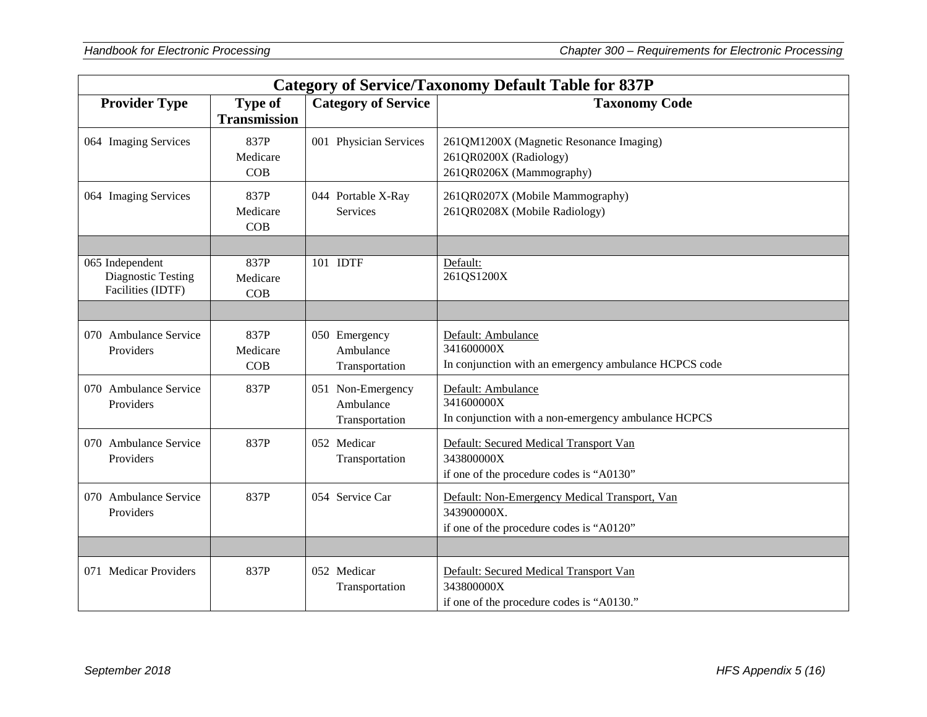| <b>Category of Service/Taxonomy Default Table for 837P</b> |                                       |                                                  |                                                                                                          |
|------------------------------------------------------------|---------------------------------------|--------------------------------------------------|----------------------------------------------------------------------------------------------------------|
| <b>Provider Type</b>                                       | <b>Type of</b><br><b>Transmission</b> | <b>Category of Service</b>                       | <b>Taxonomy Code</b>                                                                                     |
| 064 Imaging Services                                       | 837P<br>Medicare<br>COB               | 001 Physician Services                           | 261QM1200X (Magnetic Resonance Imaging)<br>261QR0200X (Radiology)<br>261QR0206X (Mammography)            |
| 064 Imaging Services                                       | 837P<br>Medicare<br>COB               | 044 Portable X-Ray<br>Services                   | 261QR0207X (Mobile Mammography)<br>261QR0208X (Mobile Radiology)                                         |
| 065 Independent<br>Diagnostic Testing<br>Facilities (IDTF) | 837P<br>Medicare<br>COB               | 101 IDTF                                         | Default:<br>261QS1200X                                                                                   |
| 070 Ambulance Service<br>Providers                         | 837P<br>Medicare<br>COB               | 050 Emergency<br>Ambulance<br>Transportation     | Default: Ambulance<br>341600000X<br>In conjunction with an emergency ambulance HCPCS code                |
| 070 Ambulance Service<br>Providers                         | 837P                                  | 051 Non-Emergency<br>Ambulance<br>Transportation | Default: Ambulance<br>341600000X<br>In conjunction with a non-emergency ambulance HCPCS                  |
| 070 Ambulance Service<br>Providers                         | 837P                                  | 052 Medicar<br>Transportation                    | Default: Secured Medical Transport Van<br>343800000X<br>if one of the procedure codes is "A0130"         |
| 070 Ambulance Service<br>Providers                         | 837P                                  | 054 Service Car                                  | Default: Non-Emergency Medical Transport, Van<br>343900000X.<br>if one of the procedure codes is "A0120" |
| 071 Medicar Providers                                      | 837P                                  | 052 Medicar<br>Transportation                    | Default: Secured Medical Transport Van<br>343800000X<br>if one of the procedure codes is "A0130."        |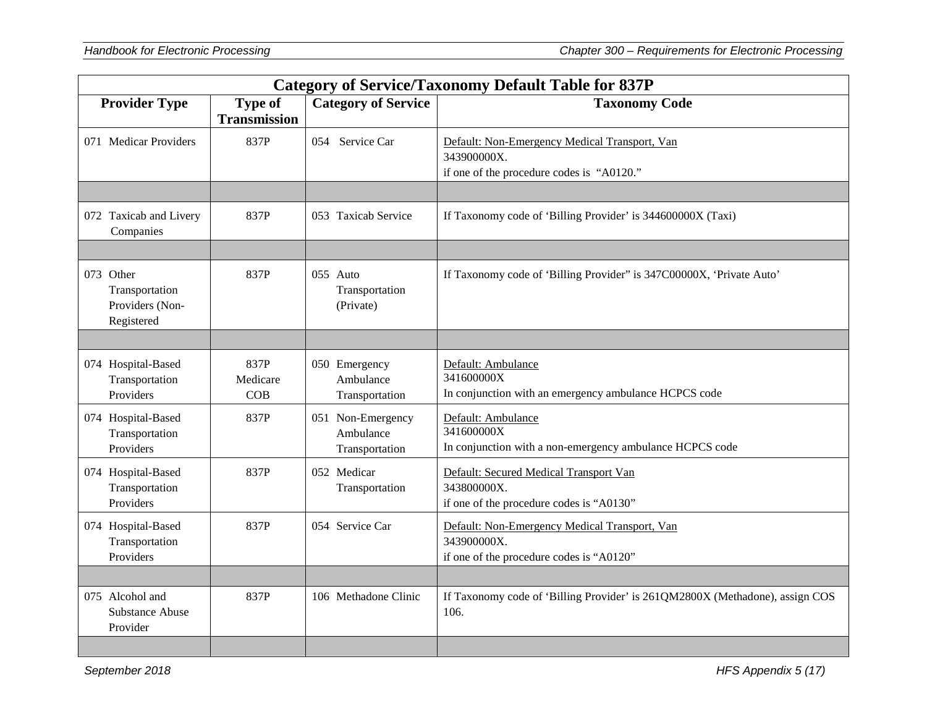| <b>Category of Service/Taxonomy Default Table for 837P</b>   |                                       |                                                  |                                                                                                           |
|--------------------------------------------------------------|---------------------------------------|--------------------------------------------------|-----------------------------------------------------------------------------------------------------------|
| <b>Provider Type</b>                                         | <b>Type of</b><br><b>Transmission</b> | <b>Category of Service</b>                       | <b>Taxonomy Code</b>                                                                                      |
| 071 Medicar Providers                                        | 837P                                  | 054 Service Car                                  | Default: Non-Emergency Medical Transport, Van<br>343900000X.<br>if one of the procedure codes is "A0120." |
|                                                              |                                       |                                                  |                                                                                                           |
| 072 Taxicab and Livery<br>Companies                          | 837P                                  | 053 Taxicab Service                              | If Taxonomy code of 'Billing Provider' is 344600000X (Taxi)                                               |
|                                                              |                                       |                                                  |                                                                                                           |
| 073 Other<br>Transportation<br>Providers (Non-<br>Registered | 837P                                  | 055 Auto<br>Transportation<br>(Private)          | If Taxonomy code of 'Billing Provider" is 347C00000X, 'Private Auto'                                      |
|                                                              |                                       |                                                  |                                                                                                           |
| 074 Hospital-Based<br>Transportation<br>Providers            | 837P<br>Medicare<br>COB               | 050 Emergency<br>Ambulance<br>Transportation     | Default: Ambulance<br>341600000X<br>In conjunction with an emergency ambulance HCPCS code                 |
| 074 Hospital-Based<br>Transportation<br>Providers            | 837P                                  | 051 Non-Emergency<br>Ambulance<br>Transportation | Default: Ambulance<br>341600000X<br>In conjunction with a non-emergency ambulance HCPCS code              |
| 074 Hospital-Based<br>Transportation<br>Providers            | 837P                                  | 052 Medicar<br>Transportation                    | Default: Secured Medical Transport Van<br>343800000X.<br>if one of the procedure codes is "A0130"         |
| 074 Hospital-Based<br>Transportation<br>Providers            | 837P                                  | 054 Service Car                                  | Default: Non-Emergency Medical Transport, Van<br>343900000X.<br>if one of the procedure codes is "A0120"  |
|                                                              |                                       |                                                  |                                                                                                           |
| 075 Alcohol and<br><b>Substance Abuse</b><br>Provider        | 837P                                  | 106 Methadone Clinic                             | If Taxonomy code of 'Billing Provider' is 261QM2800X (Methadone), assign COS<br>106.                      |
|                                                              |                                       |                                                  |                                                                                                           |